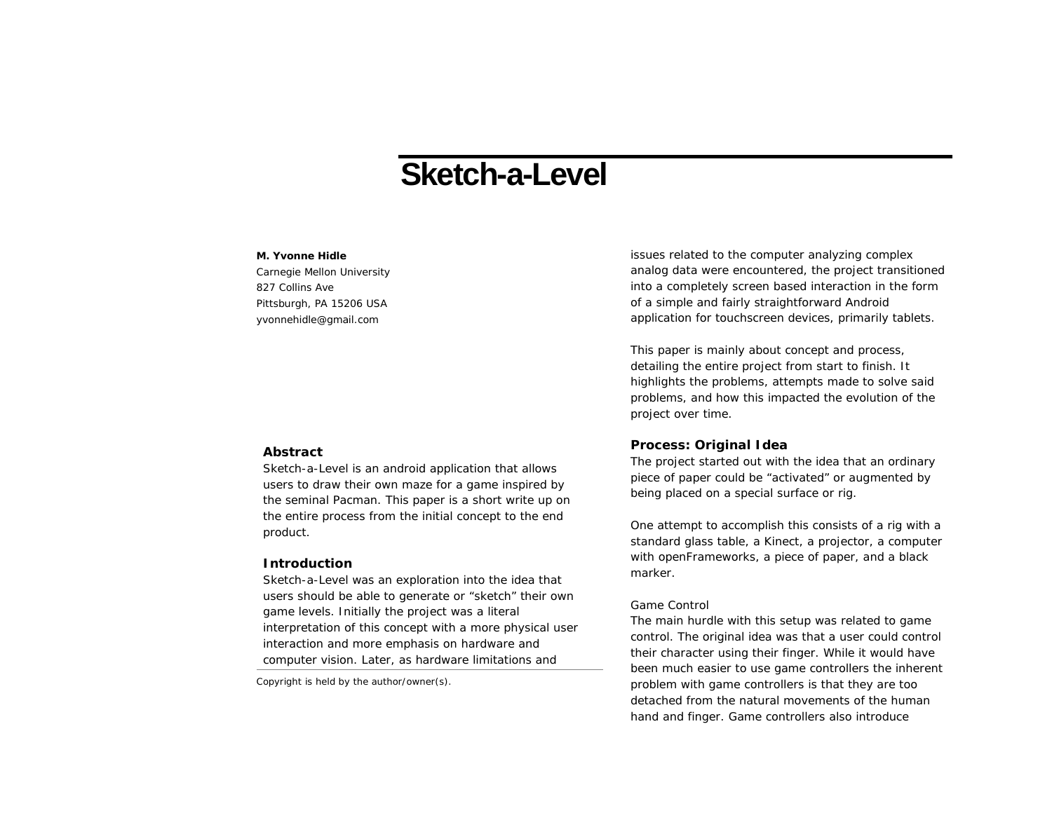# **Sketch-a-Level**

### **M. Yvonne Hidle**

Carnegie Mellon University 827 Collins Ave Pittsburgh, PA 15206 USA yvonnehidle@gmail.com

## **Abstract**

Sketch-a-Level is an android application that allows users to draw their own maze for a game inspired by the seminal Pacman. This paper is a short write up on the entire process from the initial concept to the end product.

## **Introduction**

Sketch-a-Level was an exploration into the idea that users should be able to generate or "sketch" their own game levels. Initially the project was a literal interpretation of this concept with a more physical user interaction and more emphasis on hardware and computer vision. Later, as hardware limitations and

Copyright is held by the author/owner(s).

issues related to the computer analyzing complex analog data were encountered, the project transitioned into a completely screen based interaction in the form of a simple and fairly straightforward Android application for touchscreen devices, primarily tablets.

This paper is mainly about concept and process, detailing the entire project from start to finish. It highlights the problems, attempts made to solve said problems, and how this impacted the evolution of the project over time.

# **Process: Original Idea**

The project started out with the idea that an ordinary piece of paper could be "activated" or augmented by being placed on a special surface or rig.

One attempt to accomplish this consists of a rig with a standard glass table, a Kinect, a projector, a computer with openFrameworks, a piece of paper, and a black marker.

#### *Game Control*

The main hurdle with this setup was related to game control. The original idea was that a user could control their character using their finger. While it would have been much easier to use game controllers the inherent problem with game controllers is that they are too detached from the natural movements of the human hand and finger. Game controllers also introduce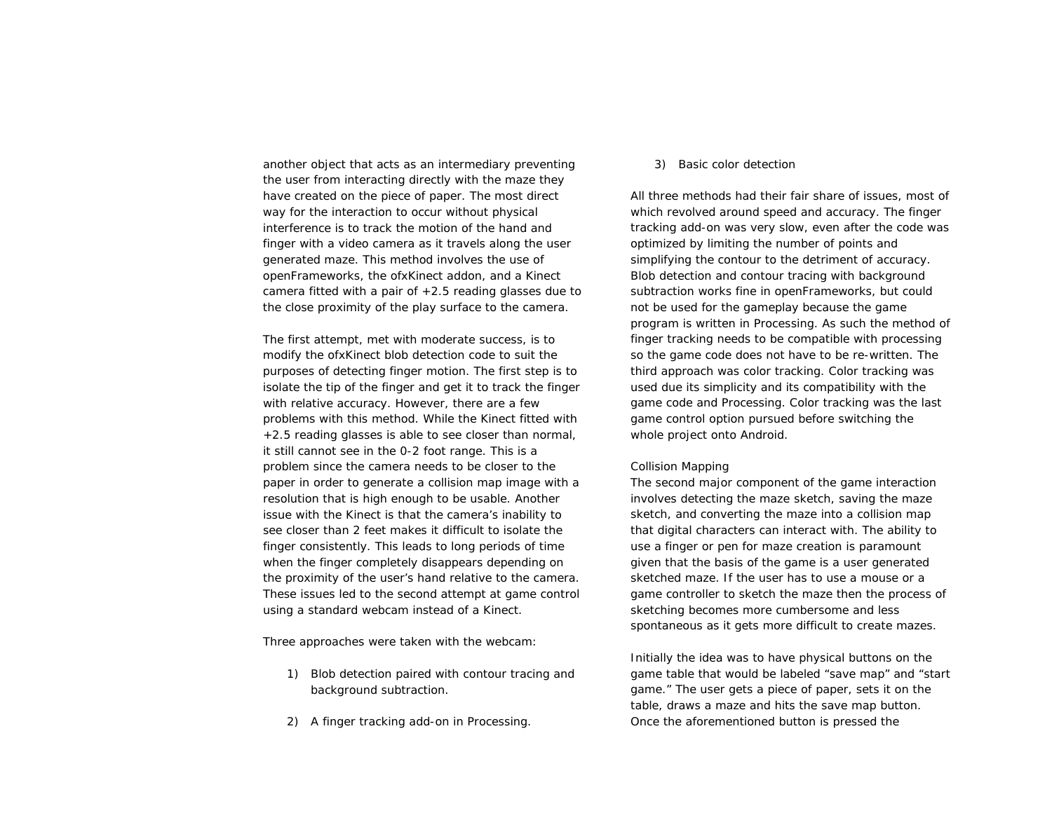another object that acts as an intermediary preventing the user from interacting directly with the maze they have created on the piece of paper. The most direct way for the interaction to occur without physical interference is to track the motion of the hand and finger with a video camera as it travels along the user generated maze. This method involves the use of openFrameworks, the ofxKinect addon, and a Kinect camera fitted with a pair of  $+2.5$  reading glasses due to the close proximity of the play surface to the camera.

The first attempt, met with moderate success, is to modify the ofxKinect blob detection code to suit the purposes of detecting finger motion. The first step is to isolate the tip of the finger and get it to track the finger with relative accuracy. However, there are a few problems with this method. While the Kinect fitted with +2.5 reading glasses is able to see closer than normal, it still cannot see in the 0-2 foot range. This is a problem since the camera needs to be closer to the paper in order to generate a collision map image with a resolution that is high enough to be usable. Another issue with the Kinect is that the camera's inability to see closer than 2 feet makes it difficult to isolate the finger consistently. This leads to long periods of time when the finger completely disappears depending on the proximity of the user's hand relative to the camera. These issues led to the second attempt at game control using a standard webcam instead of a Kinect.

Three approaches were taken with the webcam:

- 1) Blob detection paired with contour tracing and background subtraction.
- 2) A finger tracking add-on in Processing.

#### 3) Basic color detection

All three methods had their fair share of issues, most of which revolved around speed and accuracy. The finger tracking add-on was very slow, even after the code was optimized by limiting the number of points and simplifying the contour to the detriment of accuracy. Blob detection and contour tracing with background subtraction works fine in openFrameworks, but could not be used for the gameplay because the game program is written in Processing. As such the method of finger tracking needs to be compatible with processing so the game code does not have to be re-written. The third approach was color tracking. Color tracking was used due its simplicity and its compatibility with the game code and Processing. Color tracking was the last game control option pursued before switching the whole project onto Android.

#### *Collision Mapping*

The second major component of the game interaction involves detecting the maze sketch, saving the maze sketch, and converting the maze into a collision map that digital characters can interact with. The ability to use a finger or pen for maze creation is paramount given that the basis of the game is a user generated sketched maze. If the user has to use a mouse or a game controller to sketch the maze then the process of sketching becomes more cumbersome and less spontaneous as it gets more difficult to create mazes.

Initially the idea was to have physical buttons on the game table that would be labeled "save map" and "start game." The user gets a piece of paper, sets it on the table, draws a maze and hits the save map button. Once the aforementioned button is pressed the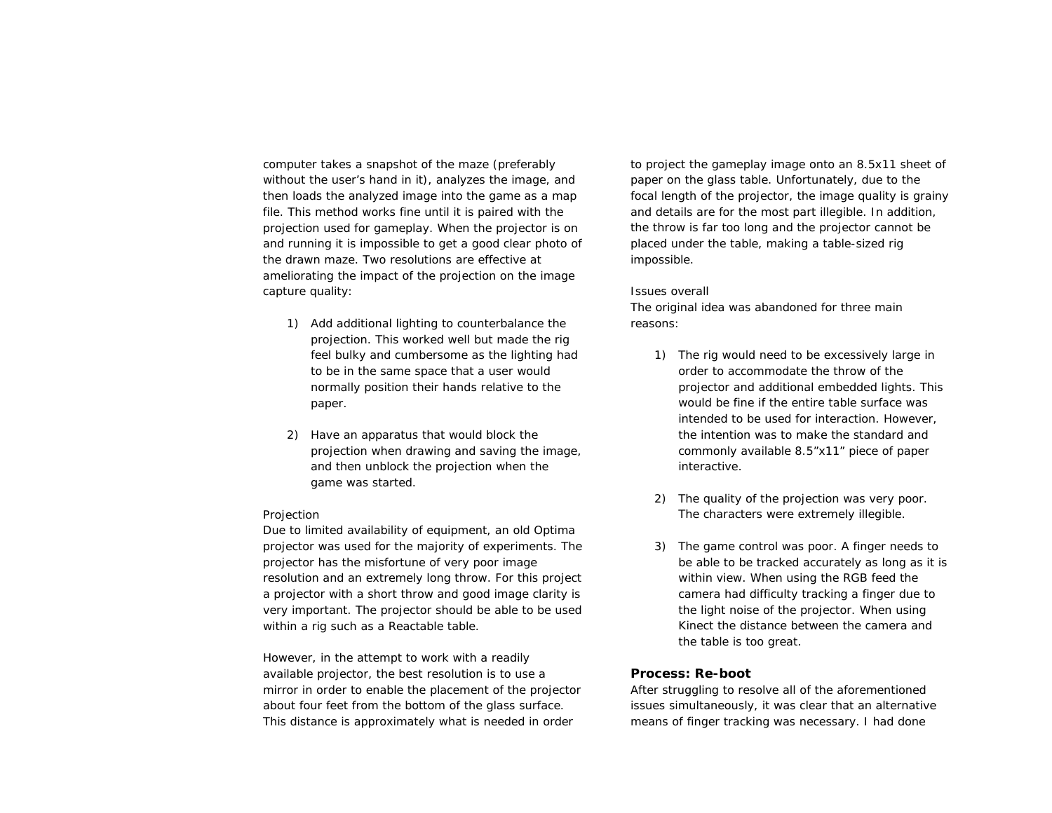computer takes a snapshot of the maze (preferably without the user's hand in it), analyzes the image, and then loads the analyzed image into the game as a map file. This method works fine until it is paired with the projection used for gameplay. When the projector is on and running it is impossible to get a good clear photo of the drawn maze. Two resolutions are effective at ameliorating the impact of the projection on the image capture quality:

- 1) Add additional lighting to counterbalance the projection. This worked well but made the rig feel bulky and cumbersome as the lighting had to be in the same space that a user would normally position their hands relative to the paper.
- 2) Have an apparatus that would block the projection when drawing and saving the image, and then unblock the projection when the game was started.

## *Projection*

Due to limited availability of equipment, an old Optima projector was used for the majority of experiments. The projector has the misfortune of very poor image resolution and an extremely long throw. For this project a projector with a short throw and good image clarity is very important. The projector should be able to be used within a rig such as a Reactable table.

However, in the attempt to work with a readily available projector, the best resolution is to use a mirror in order to enable the placement of the projector about four feet from the bottom of the glass surface. This distance is approximately what is needed in order

to project the gameplay image onto an 8.5x11 sheet of paper on the glass table. Unfortunately, due to the focal length of the projector, the image quality is grainy and details are for the most part illegible. In addition, the throw is far too long and the projector cannot be placed under the table, making a table-sized rig impossible.

#### *Issues overall*

The original idea was abandoned for three main reasons:

- 1) The rig would need to be excessively large in order to accommodate the throw of the projector and additional embedded lights. This would be fine if the entire table surface was intended to be used for interaction. However, the intention was to make the standard and commonly available 8.5"x11" piece of paper interactive.
- 2) The quality of the projection was very poor. The characters were extremely illegible.
- 3) The game control was poor. A finger needs to be able to be tracked accurately as long as it is within view. When using the RGB feed the camera had difficulty tracking a finger due to the light noise of the projector. When using Kinect the distance between the camera and the table is too great.

# **Process: Re-boot**

After struggling to resolve all of the aforementioned issues simultaneously, it was clear that an alternative means of finger tracking was necessary. I had done